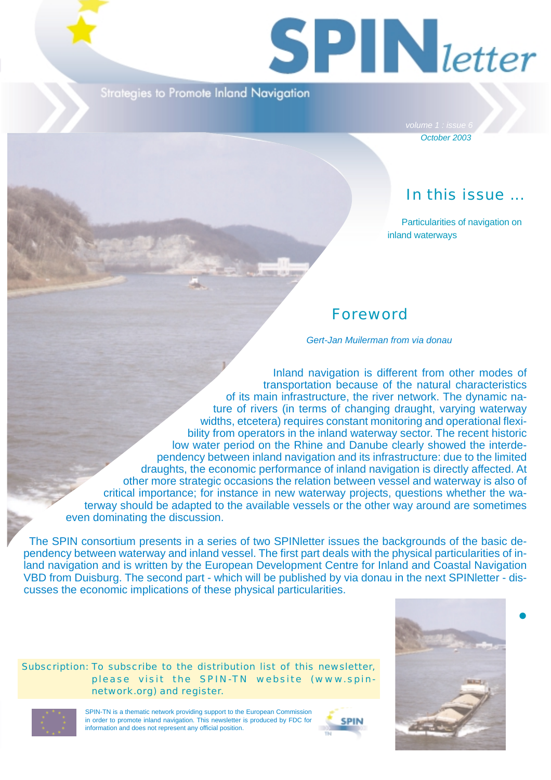

Strategies to Promote Inland Navigation

*October 2003*

# In this issue ...

Particularities of navigation on inland waterways

## Foreword

*Gert-Jan Muilerman from via donau*

Inland navigation is different from other modes of transportation because of the natural characteristics of its main infrastructure, the river network. The dynamic nature of rivers (in terms of changing draught, varying waterway widths, etcetera) requires constant monitoring and operational flexibility from operators in the inland waterway sector. The recent historic low water period on the Rhine and Danube clearly showed the interdependency between inland navigation and its infrastructure: due to the limited draughts, the economic performance of inland navigation is directly affected. At other more strategic occasions the relation between vessel and waterway is also of critical importance; for instance in new waterway projects, questions whether the waterway should be adapted to the available vessels or the other way around are sometimes even dominating the discussion.

The SPIN consortium presents in a series of two SPINletter issues the backgrounds of the basic dependency between waterway and inland vessel. The first part deals with the physical particularities of inland navigation and is written by the European Development Centre for Inland and Coastal Navigation VBD from Duisburg. The second part - which will be published by via donau in the next SPINletter - discusses the economic implications of these physical particularities.

Subscription: To subscribe to the distribution list of this newsletter, please visit the SPIN-TN website (www.spinnetwork.org) and register.



 $\bullet$ 



SPIN-TN is a thematic network providing support to the European Commission in order to promote inland navigation. This newsletter is produced by FDC for information and does not represent any official position.

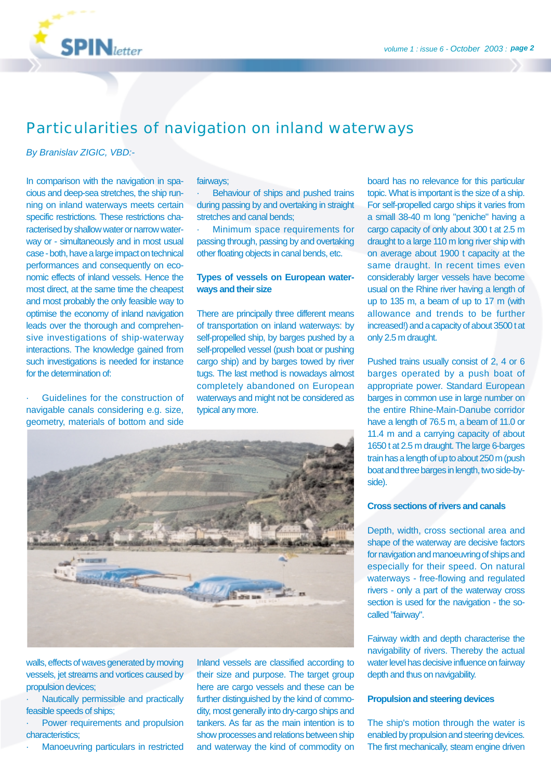

## Particularities of navigation on inland waterways

*By Branislav ZIGIC, VBD:-*

In comparison with the navigation in spacious and deep-sea stretches, the ship running on inland waterways meets certain specific restrictions. These restrictions characterised by shallow water or narrow waterway or - simultaneously and in most usual case - both, have a large impact on technical performances and consequently on economic effects of inland vessels. Hence the most direct, at the same time the cheapest and most probably the only feasible way to optimise the economy of inland navigation leads over the thorough and comprehensive investigations of ship-waterway interactions. The knowledge gained from such investigations is needed for instance for the determination of:

Guidelines for the construction of navigable canals considering e.g. size, geometry, materials of bottom and side

#### fairways;

Behaviour of ships and pushed trains during passing by and overtaking in straight stretches and canal bends;

Minimum space requirements for passing through, passing by and overtaking other floating objects in canal bends, etc.

#### **Types of vessels on European waterways and their size**

There are principally three different means of transportation on inland waterways: by self-propelled ship, by barges pushed by a self-propelled vessel (push boat or pushing cargo ship) and by barges towed by river tugs. The last method is nowadays almost completely abandoned on European waterways and might not be considered as typical any more.



walls, effects of waves generated by moving vessels, jet streams and vortices caused by propulsion devices;

· Nautically permissible and practically feasible speeds of ships;

Power requirements and propulsion characteristics;

Manoeuvring particulars in restricted

Inland vessels are classified according to their size and purpose. The target group here are cargo vessels and these can be further distinguished by the kind of commodity, most generally into dry-cargo ships and tankers. As far as the main intention is to show processes and relations between ship and waterway the kind of commodity on

board has no relevance for this particular topic. What is important is the size of a ship. For self-propelled cargo ships it varies from a small 38-40 m long "peniche" having a cargo capacity of only about 300 t at 2.5 m draught to a large 110 m long river ship with on average about 1900 t capacity at the same draught. In recent times even considerably larger vessels have become usual on the Rhine river having a length of up to 135 m, a beam of up to 17 m (with allowance and trends to be further increased!) and a capacity of about 3500 t at only 2.5 m draught.

Pushed trains usually consist of 2, 4 or 6 barges operated by a push boat of appropriate power. Standard European barges in common use in large number on the entire Rhine-Main-Danube corridor have a length of 76.5 m, a beam of 11.0 or 11.4 m and a carrying capacity of about 1650 t at 2.5 m draught. The large 6-barges train has a length of up to about 250 m (push boat and three barges in length, two side-byside).

#### **Cross sections of rivers and canals**

Depth, width, cross sectional area and shape of the waterway are decisive factors for navigation and manoeuvring of ships and especially for their speed. On natural waterways - free-flowing and regulated rivers - only a part of the waterway cross section is used for the navigation - the socalled "fairway".

Fairway width and depth characterise the navigability of rivers. Thereby the actual water level has decisive influence on fairway depth and thus on navigability.

#### **Propulsion and steering devices**

The ship's motion through the water is enabled by propulsion and steering devices. The first mechanically, steam engine driven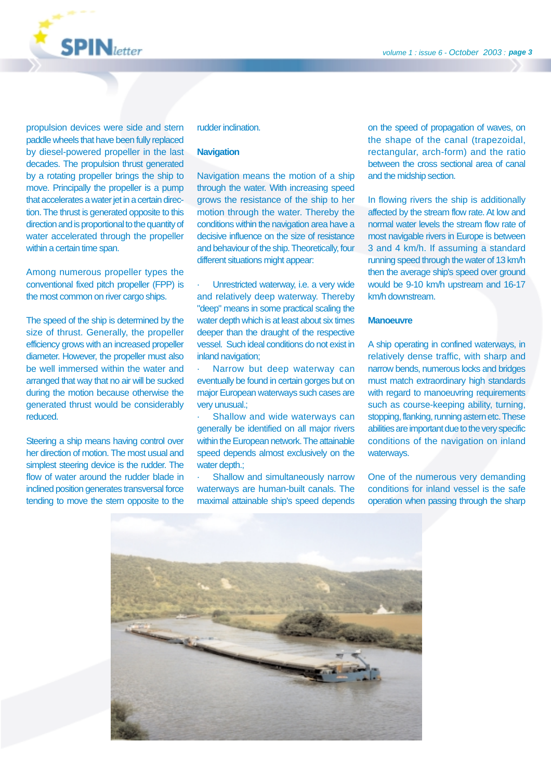

propulsion devices were side and stern paddle wheels that have been fully replaced by diesel-powered propeller in the last decades. The propulsion thrust generated by a rotating propeller brings the ship to move. Principally the propeller is a pump that accelerates a water jet in a certain direction. The thrust is generated opposite to this direction and is proportional to the quantity of water accelerated through the propeller within a certain time span.

Among numerous propeller types the conventional fixed pitch propeller (FPP) is the most common on river cargo ships.

The speed of the ship is determined by the size of thrust. Generally, the propeller efficiency grows with an increased propeller diameter. However, the propeller must also be well immersed within the water and arranged that way that no air will be sucked during the motion because otherwise the generated thrust would be considerably reduced.

Steering a ship means having control over her direction of motion. The most usual and simplest steering device is the rudder. The flow of water around the rudder blade in inclined position generates transversal force tending to move the stern opposite to the

#### rudder inclination.

#### **Navigation**

Navigation means the motion of a ship through the water. With increasing speed grows the resistance of the ship to her motion through the water. Thereby the conditions within the navigation area have a decisive influence on the size of resistance and behaviour of the ship. Theoretically, four different situations might appear:

Unrestricted waterway, i.e. a very wide and relatively deep waterway. Thereby "deep" means in some practical scaling the water depth which is at least about six times deeper than the draught of the respective vessel. Such ideal conditions do not exist in inland navigation;

Narrow but deep waterway can eventually be found in certain gorges but on major European waterways such cases are very unusual.;

Shallow and wide waterways can generally be identified on all major rivers within the European network. The attainable speed depends almost exclusively on the water depth.:

Shallow and simultaneously narrow waterways are human-built canals. The maximal attainable ship's speed depends on the speed of propagation of waves, on the shape of the canal (trapezoidal, rectangular, arch-form) and the ratio between the cross sectional area of canal and the midship section.

In flowing rivers the ship is additionally affected by the stream flow rate. At low and normal water levels the stream flow rate of most navigable rivers in Europe is between 3 and 4 km/h. If assuming a standard running speed through the water of 13 km/h then the average ship's speed over ground would be 9-10 km/h upstream and 16-17 km/h downstream.

#### **Manoeuvre**

A ship operating in confined waterways, in relatively dense traffic, with sharp and narrow bends, numerous locks and bridges must match extraordinary high standards with regard to manoeuvring requirements such as course-keeping ability, turning, stopping, flanking, running astern etc. These abilities are important due to the very specific conditions of the navigation on inland waterways.

One of the numerous very demanding conditions for inland vessel is the safe operation when passing through the sharp

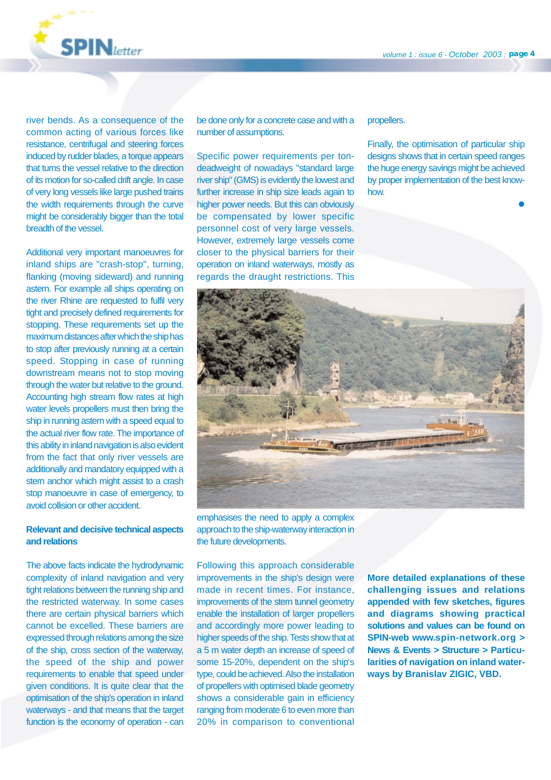

river bends. As a consequence of the common acting of various forces like resistance, centrifugal and steering forces induced by rudder blades, a torque appears that turns the vessel relative to the direction of its motion for so-called drift angle. In case of very long vessels like large pushed trains the width requirements through the curve might be considerably bigger than the total breadth of the vessel.

Additional very important manoeuvres for inland ships are "crash-stop", turning, flanking (moving sideward) and running astern. For example all ships operating on the river Rhine are requested to fulfil very tight and precisely defined requirements for stopping. These requirements set up the maximum distances after which the ship has to stop after previously running at a certain speed. Stopping in case of running downstream means not to stop moving through the water but relative to the ground. Accounting high stream flow rates at high water levels propellers must then bring the ship in running astern with a speed equal to the actual river flow rate. The importance of this ability in inland navigation is also evident from the fact that only river vessels are additionally and mandatory equipped with a stern anchor which might assist to a crash stop manoeuvre in case of emergency, to avoid collision or other accident.

#### **Relevant and decisive technical aspects and relations**

The above facts indicate the hydrodynamic complexity of inland navigation and very tight relations between the running ship and the restricted waterway. In some cases there are certain physical barriers which cannot be excelled. These barriers are expressed through relations among the size of the ship, cross section of the waterway, the speed of the ship and power requirements to enable that speed under given conditions. It is quite clear that the optimisation of the ship's operation in inland waterways - and that means that the target function is the economy of operation - can be done only for a concrete case and with a number of assumptions.

Specific power requirements per tondeadweight of nowadays "standard large river ship" (GMS) is evidently the lowest and further increase in ship size leads again to higher power needs. But this can obviously be compensated by lower specific personnel cost of very large vessels. However, extremely large vessels come closer to the physical barriers for their operation on inland waterways, mostly as regards the draught restrictions. This

#### propellers.

Finally, the optimisation of particular ship designs shows that in certain speed ranges the huge energy savings might be achieved by proper implementation of the best knowhow.

-



emphasises the need to apply a complex approach to the ship-waterway interaction in the future developments.

Following this approach considerable improvements in the ship's design were made in recent times. For instance, improvements of the stern tunnel geometry enable the installation of larger propellers and accordingly more power leading to higher speeds of the ship. Tests show that at a 5 m water depth an increase of speed of some 15-20%, dependent on the ship's type, could be achieved. Also the installation of propellers with optimised blade geometry shows a considerable gain in efficiency ranging from moderate 6 to even more than 20% in comparison to conventional

**More detailed explanations of these challenging issues and relations appended with few sketches, figures and diagrams showing practical solutions and values can be found on SPIN-web www.spin-network.org > News & Events > Structure > Particularities of navigation on inland waterways by Branislav ZIGIC, VBD.**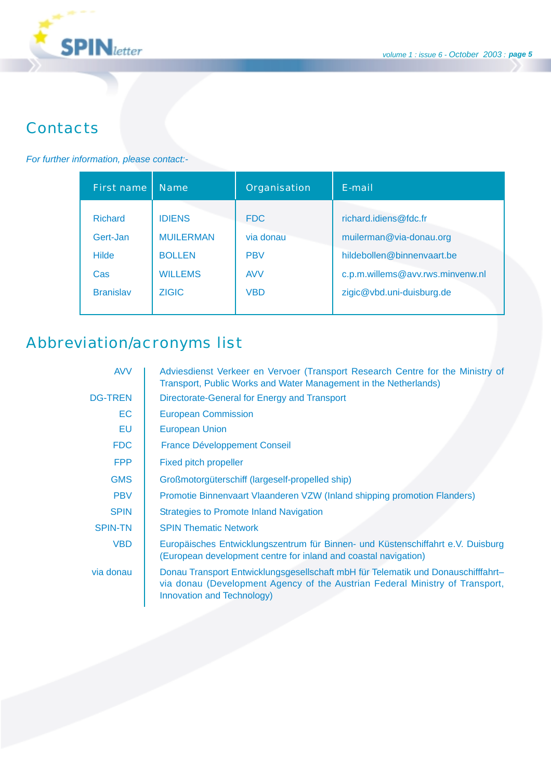

# **Contacts**

### *For further information, please contact:-*

| First name                                                            | <b>Name</b>                                                                          | Organisation                                                      | E-mail                                                                                                                                          |
|-----------------------------------------------------------------------|--------------------------------------------------------------------------------------|-------------------------------------------------------------------|-------------------------------------------------------------------------------------------------------------------------------------------------|
| <b>Richard</b><br>Gert-Jan<br><b>Hilde</b><br>Cas<br><b>Branislav</b> | <b>IDIENS</b><br><b>MUILERMAN</b><br><b>BOLLEN</b><br><b>WILLEMS</b><br><b>ZIGIC</b> | <b>FDC</b><br>via donau<br><b>PBV</b><br><b>AVV</b><br><b>VBD</b> | richard.idiens@fdc.fr<br>muilerman@via-donau.org<br>hildebollen@binnenvaart.be<br>c.p.m.willems@avv.rws.minvenw.nl<br>zigic@vbd.uni-duisburg.de |
|                                                                       |                                                                                      |                                                                   |                                                                                                                                                 |

# Abbreviation/acronyms list

| <b>AVV</b>     | Adviesdienst Verkeer en Vervoer (Transport Research Centre for the Ministry of<br>Transport, Public Works and Water Management in the Netherlands)                                             |  |  |
|----------------|------------------------------------------------------------------------------------------------------------------------------------------------------------------------------------------------|--|--|
| <b>DG-TREN</b> | Directorate-General for Energy and Transport                                                                                                                                                   |  |  |
| EC.            | <b>European Commission</b>                                                                                                                                                                     |  |  |
| EU             | <b>European Union</b>                                                                                                                                                                          |  |  |
| <b>FDC</b>     | <b>France Développement Conseil</b>                                                                                                                                                            |  |  |
| <b>FPP</b>     | Fixed pitch propeller                                                                                                                                                                          |  |  |
| <b>GMS</b>     | Großmotorgüterschiff (largeself-propelled ship)                                                                                                                                                |  |  |
| <b>PBV</b>     | Promotie Binnenvaart Vlaanderen VZW (Inland shipping promotion Flanders)                                                                                                                       |  |  |
| <b>SPIN</b>    | <b>Strategies to Promote Inland Navigation</b>                                                                                                                                                 |  |  |
| <b>SPIN-TN</b> | <b>SPIN Thematic Network</b>                                                                                                                                                                   |  |  |
| <b>VBD</b>     | Europäisches Entwicklungszentrum für Binnen- und Küstenschiffahrt e.V. Duisburg<br>(European development centre for inland and coastal navigation)                                             |  |  |
| via donau      | Donau Transport Entwicklungsgesellschaft mbH für Telematik und Donauschifffahrt-<br>via donau (Development Agency of the Austrian Federal Ministry of Transport,<br>Innovation and Technology) |  |  |